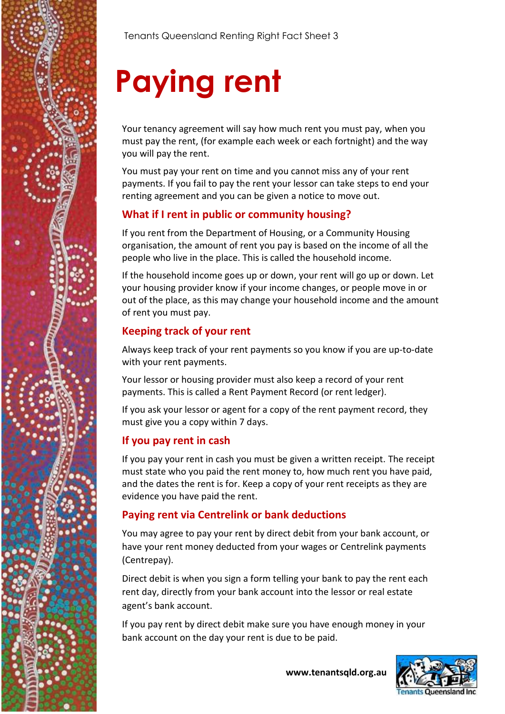

# **Paying rent**

Your tenancy agreement will say how much rent you must pay, when you must pay the rent, (for example each week or each fortnight) and the way you will pay the rent.

You must pay your rent on time and you cannot miss any of your rent payments. If you fail to pay the rent your lessor can take steps to end your renting agreement and you can be given a notice to move out.

# **What if I rent in public or community housing?**

If you rent from the Department of Housing, or a Community Housing organisation, the amount of rent you pay is based on the income of all the people who live in the place. This is called the household income.

If the household income goes up or down, your rent will go up or down. Let your housing provider know if your income changes, or people move in or out of the place, as this may change your household income and the amount of rent you must pay.

# **Keeping track of your rent**

Always keep track of your rent payments so you know if you are up-to-date with your rent payments.

Your lessor or housing provider must also keep a record of your rent payments. This is called a Rent Payment Record (or rent ledger).

If you ask your lessor or agent for a copy of the rent payment record, they must give you a copy within 7 days.

# **If you pay rent in cash**

If you pay your rent in cash you must be given a written receipt. The receipt must state who you paid the rent money to, how much rent you have paid, and the dates the rent is for. Keep a copy of your rent receipts as they are evidence you have paid the rent.

# **Paying rent via Centrelink or bank deductions**

You may agree to pay your rent by direct debit from your bank account, or have your rent money deducted from your wages or Centrelink payments (Centrepay).

Direct debit is when you sign a form telling your bank to pay the rent each rent day, directly from your bank account into the lessor or real estate agent's bank account.

If you pay rent by direct debit make sure you have enough money in your bank account on the day your rent is due to be paid.



**www.tenantsqld.org.au**